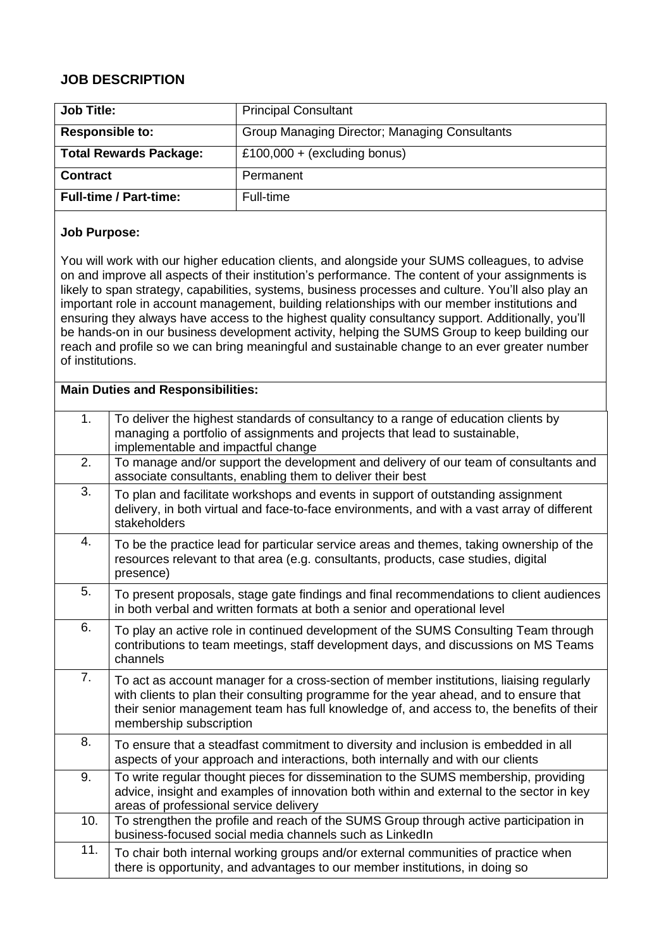## **JOB DESCRIPTION**

| <b>Job Title:</b>             | <b>Principal Consultant</b>                   |
|-------------------------------|-----------------------------------------------|
| <b>Responsible to:</b>        | Group Managing Director; Managing Consultants |
| <b>Total Rewards Package:</b> | £100,000 + (excluding bonus)                  |
| <b>Contract</b>               | Permanent                                     |
| <b>Full-time / Part-time:</b> | Full-time                                     |

## **Job Purpose:**

You will work with our higher education clients, and alongside your SUMS colleagues, to advise on and improve all aspects of their institution's performance. The content of your assignments is likely to span strategy, capabilities, systems, business processes and culture. You'll also play an important role in account management, building relationships with our member institutions and ensuring they always have access to the highest quality consultancy support. Additionally, you'll be hands-on in our business development activity, helping the SUMS Group to keep building our reach and profile so we can bring meaningful and sustainable change to an ever greater number of institutions.

| <b>Main Duties and Responsibilities:</b> |                                                                                                                                                                                                                                                                                                           |  |
|------------------------------------------|-----------------------------------------------------------------------------------------------------------------------------------------------------------------------------------------------------------------------------------------------------------------------------------------------------------|--|
| 1.                                       | To deliver the highest standards of consultancy to a range of education clients by<br>managing a portfolio of assignments and projects that lead to sustainable,<br>implementable and impactful change                                                                                                    |  |
| 2.                                       | To manage and/or support the development and delivery of our team of consultants and<br>associate consultants, enabling them to deliver their best                                                                                                                                                        |  |
| 3.                                       | To plan and facilitate workshops and events in support of outstanding assignment<br>delivery, in both virtual and face-to-face environments, and with a vast array of different<br>stakeholders                                                                                                           |  |
| 4.                                       | To be the practice lead for particular service areas and themes, taking ownership of the<br>resources relevant to that area (e.g. consultants, products, case studies, digital<br>presence)                                                                                                               |  |
| 5.                                       | To present proposals, stage gate findings and final recommendations to client audiences<br>in both verbal and written formats at both a senior and operational level                                                                                                                                      |  |
| 6.                                       | To play an active role in continued development of the SUMS Consulting Team through<br>contributions to team meetings, staff development days, and discussions on MS Teams<br>channels                                                                                                                    |  |
| 7.                                       | To act as account manager for a cross-section of member institutions, liaising regularly<br>with clients to plan their consulting programme for the year ahead, and to ensure that<br>their senior management team has full knowledge of, and access to, the benefits of their<br>membership subscription |  |
| 8.                                       | To ensure that a steadfast commitment to diversity and inclusion is embedded in all<br>aspects of your approach and interactions, both internally and with our clients                                                                                                                                    |  |
| 9.                                       | To write regular thought pieces for dissemination to the SUMS membership, providing<br>advice, insight and examples of innovation both within and external to the sector in key<br>areas of professional service delivery                                                                                 |  |
| 10.                                      | To strengthen the profile and reach of the SUMS Group through active participation in<br>business-focused social media channels such as LinkedIn                                                                                                                                                          |  |
| 11.                                      | To chair both internal working groups and/or external communities of practice when<br>there is opportunity, and advantages to our member institutions, in doing so                                                                                                                                        |  |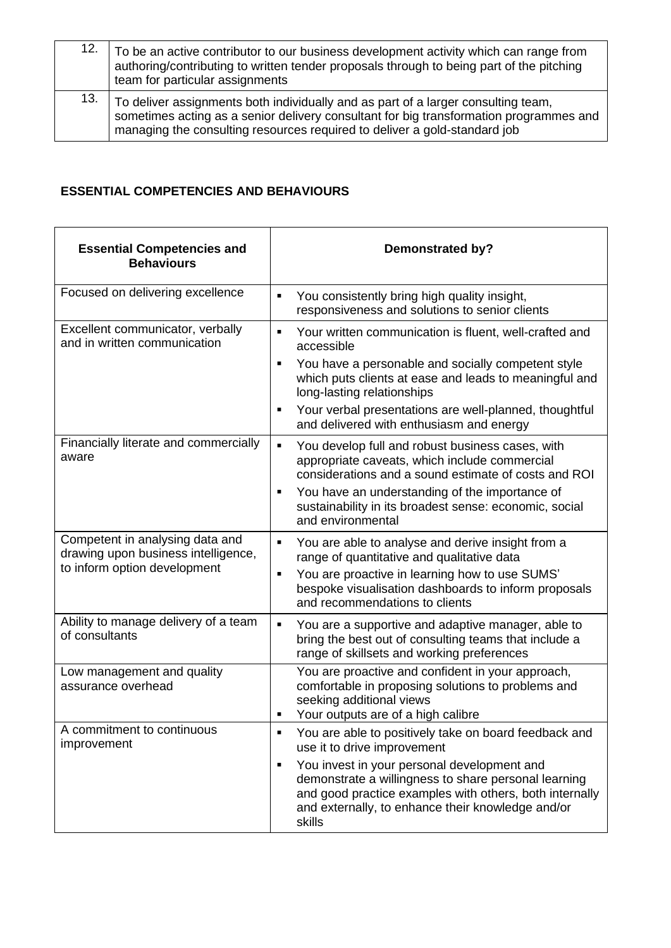| 12. | To be an active contributor to our business development activity which can range from<br>authoring/contributing to written tender proposals through to being part of the pitching<br>team for particular assignments                                     |
|-----|----------------------------------------------------------------------------------------------------------------------------------------------------------------------------------------------------------------------------------------------------------|
| 13. | To deliver assignments both individually and as part of a larger consulting team,<br>sometimes acting as a senior delivery consultant for big transformation programmes and<br>managing the consulting resources required to deliver a gold-standard job |

## **ESSENTIAL COMPETENCIES AND BEHAVIOURS**

| <b>Essential Competencies and</b><br><b>Behaviours</b>                                                 | <b>Demonstrated by?</b>                                                                                                                                                                                                                                |
|--------------------------------------------------------------------------------------------------------|--------------------------------------------------------------------------------------------------------------------------------------------------------------------------------------------------------------------------------------------------------|
| Focused on delivering excellence                                                                       | You consistently bring high quality insight,<br>Ξ<br>responsiveness and solutions to senior clients                                                                                                                                                    |
| Excellent communicator, verbally<br>and in written communication                                       | Your written communication is fluent, well-crafted and<br>Ξ<br>accessible<br>You have a personable and socially competent style<br>٠<br>which puts clients at ease and leads to meaningful and<br>long-lasting relationships                           |
|                                                                                                        | Your verbal presentations are well-planned, thoughtful<br>٠<br>and delivered with enthusiasm and energy                                                                                                                                                |
| Financially literate and commercially<br>aware                                                         | $\blacksquare$<br>You develop full and robust business cases, with<br>appropriate caveats, which include commercial<br>considerations and a sound estimate of costs and ROI                                                                            |
|                                                                                                        | You have an understanding of the importance of<br>٠<br>sustainability in its broadest sense: economic, social<br>and environmental                                                                                                                     |
| Competent in analysing data and<br>drawing upon business intelligence,<br>to inform option development | You are able to analyse and derive insight from a<br>×,<br>range of quantitative and qualitative data<br>You are proactive in learning how to use SUMS'<br>٠<br>bespoke visualisation dashboards to inform proposals<br>and recommendations to clients |
| Ability to manage delivery of a team<br>of consultants                                                 | $\blacksquare$<br>You are a supportive and adaptive manager, able to<br>bring the best out of consulting teams that include a<br>range of skillsets and working preferences                                                                            |
| Low management and quality<br>assurance overhead                                                       | You are proactive and confident in your approach,<br>comfortable in proposing solutions to problems and<br>seeking additional views<br>Your outputs are of a high calibre<br>٠                                                                         |
| A commitment to continuous<br>improvement                                                              | You are able to positively take on board feedback and<br>use it to drive improvement                                                                                                                                                                   |
|                                                                                                        | You invest in your personal development and<br>$\blacksquare$<br>demonstrate a willingness to share personal learning<br>and good practice examples with others, both internally<br>and externally, to enhance their knowledge and/or<br>skills        |